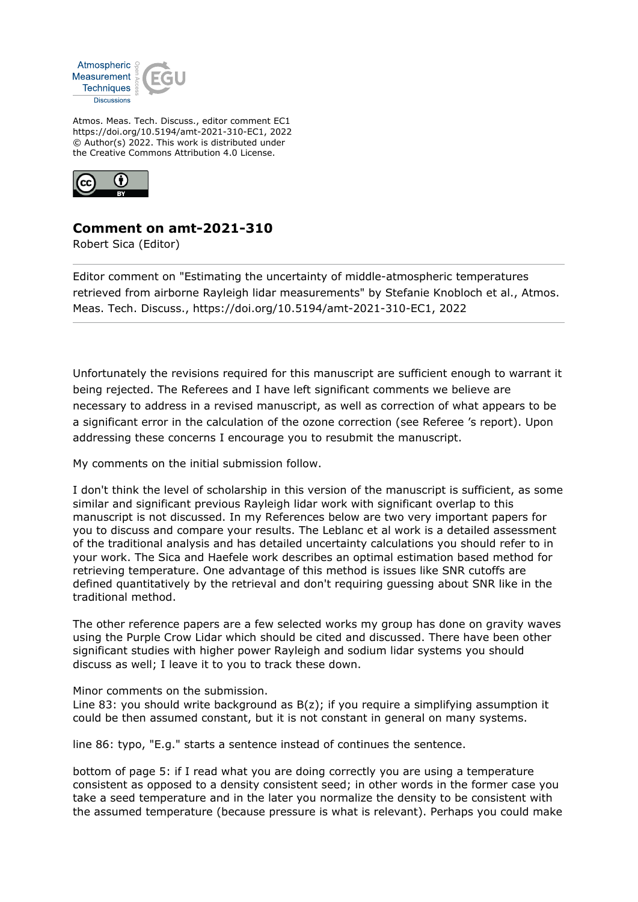

Atmos. Meas. Tech. Discuss., editor comment EC1 https://doi.org/10.5194/amt-2021-310-EC1, 2022 © Author(s) 2022. This work is distributed under the Creative Commons Attribution 4.0 License.



## **Comment on amt-2021-310**

Robert Sica (Editor)

Editor comment on "Estimating the uncertainty of middle-atmospheric temperatures retrieved from airborne Rayleigh lidar measurements" by Stefanie Knobloch et al., Atmos. Meas. Tech. Discuss., https://doi.org/10.5194/amt-2021-310-EC1, 2022

Unfortunately the revisions required for this manuscript are sufficient enough to warrant it being rejected. The Referees and I have left significant comments we believe are necessary to address in a revised manuscript, as well as correction of what appears to be a significant error in the calculation of the ozone correction (see Referee 's report). Upon addressing these concerns I encourage you to resubmit the manuscript.

My comments on the initial submission follow.

I don't think the level of scholarship in this version of the manuscript is sufficient, as some similar and significant previous Rayleigh lidar work with significant overlap to this manuscript is not discussed. In my References below are two very important papers for you to discuss and compare your results. The Leblanc et al work is a detailed assessment of the traditional analysis and has detailed uncertainty calculations you should refer to in your work. The Sica and Haefele work describes an optimal estimation based method for retrieving temperature. One advantage of this method is issues like SNR cutoffs are defined quantitatively by the retrieval and don't requiring guessing about SNR like in the traditional method.

The other reference papers are a few selected works my group has done on gravity waves using the Purple Crow Lidar which should be cited and discussed. There have been other significant studies with higher power Rayleigh and sodium lidar systems you should discuss as well; I leave it to you to track these down.

Minor comments on the submission.

Line 83: you should write background as B(z); if you require a simplifying assumption it could be then assumed constant, but it is not constant in general on many systems.

line 86: typo, "E.g." starts a sentence instead of continues the sentence.

bottom of page 5: if I read what you are doing correctly you are using a temperature consistent as opposed to a density consistent seed; in other words in the former case you take a seed temperature and in the later you normalize the density to be consistent with the assumed temperature (because pressure is what is relevant). Perhaps you could make